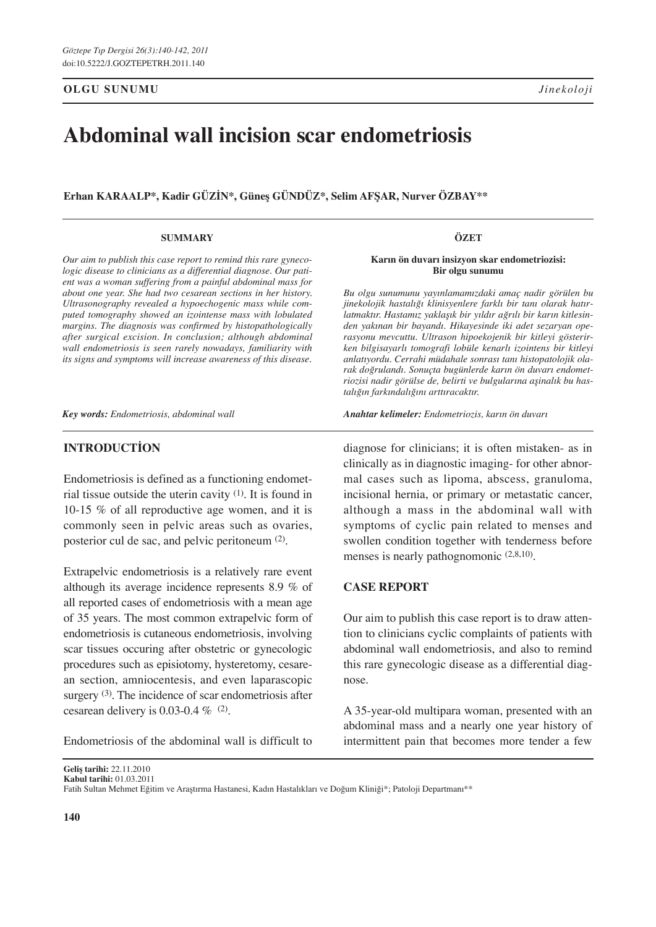**OLGU SUNUMU**

# **Abdominal wall incision scar endometriosis**

**Erhan Karaalp\*, Kadir GÜzİn\*, Güneş GÜndÜz\*, Selim AfŞar, Nurver Özbay\*\***

#### **SUMMARY**

*Our aim to publish this case report to remind this rare gynecologic disease to clinicians as a differential diagnose. Our patient was a woman suffering from a painful abdominal mass for about one year. She had two cesarean sections in her history. Ultrasonography revealed a hypoechogenic mass while computed tomography showed an izointense mass with lobulated margins. The diagnosis was confirmed by histopathologically after surgical excision. In conclusion; although abdominal wall endometriosis is seen rarely nowadays, familiarity with its signs and symptoms will increase awareness of this disease.* 

*Key words: Endometriosis, abdominal wall* 

#### **Introduction**

Endometriosis is defined as a functioning endometrial tissue outside the uterin cavity  $(1)$ . It is found in 10-15 % of all reproductive age women, and it is commonly seen in pelvic areas such as ovaries, posterior cul de sac, and pelvic peritoneum (2).

Extrapelvic endometriosis is a relatively rare event although its average incidence represents 8.9 % of all reported cases of endometriosis with a mean age of 35 years. The most common extrapelvic form of endometriosis is cutaneous endometriosis, involving scar tissues occuring after obstetric or gynecologic procedures such as episiotomy, hysteretomy, cesarean section, amniocentesis, and even laparascopic surgery <sup>(3)</sup>. The incidence of scar endometriosis after cesarean delivery is 0.03-0.4  $\%$  (2).

Endometriosis of the abdominal wall is difficult to

ÖZET

**Karın ön duvarı insizyon skar endometriozisi: Bir olgu sunumu**

*Bu olgu sunumunu yayınlamamızdaki amaç nadir görülen bu jinekolojik hastalığı klinisyenlere farklı bir tanı olarak hatırlatmaktır. Hastamız yaklaşık bir yıldır ağrılı bir karın kitlesinden yakınan bir bayandı. Hikayesinde iki adet sezaryan operasyonu mevcuttu. Ultrason hipoekojenik bir kitleyi gösterirken bilgisayarlı tomografi lobüle kenarlı izointens bir kitleyi anlatıyordu. Cerrahi müdahale sonrası tanı histopatolojik olarak doğrulandı. Sonuçta bugünlerde karın ön duvarı endometriozisi nadir görülse de, belirti ve bulgularına aşinalık bu hastalığın farkındalığını arttıracaktır.*

*Anahtar kelimeler: Endometriozis, karın ön duvarı*

diagnose for clinicians; it is often mistaken- as in clinically as in diagnostic imaging- for other abnormal cases such as lipoma, abscess, granuloma, incisional hernia, or primary or metastatic cancer, although a mass in the abdominal wall with symptoms of cyclic pain related to menses and swollen condition together with tenderness before menses is nearly pathognomonic (2,8,10).

### **Case Report**

Our aim to publish this case report is to draw attention to clinicians cyclic complaints of patients with abdominal wall endometriosis, and also to remind this rare gynecologic disease as a differential diagnose.

A 35-year-old multipara woman, presented with an abdominal mass and a nearly one year history of intermittent pain that becomes more tender a few

**Geliş tarihi:** 22.11.2010

**Kabul tarihi:** 01.03.2011

Fatih Sultan Mehmet Eğitim ve Araştırma Hastanesi, Kadın Hastalıkları ve Doğum Kliniği\*; Patoloji Departmanı\*\*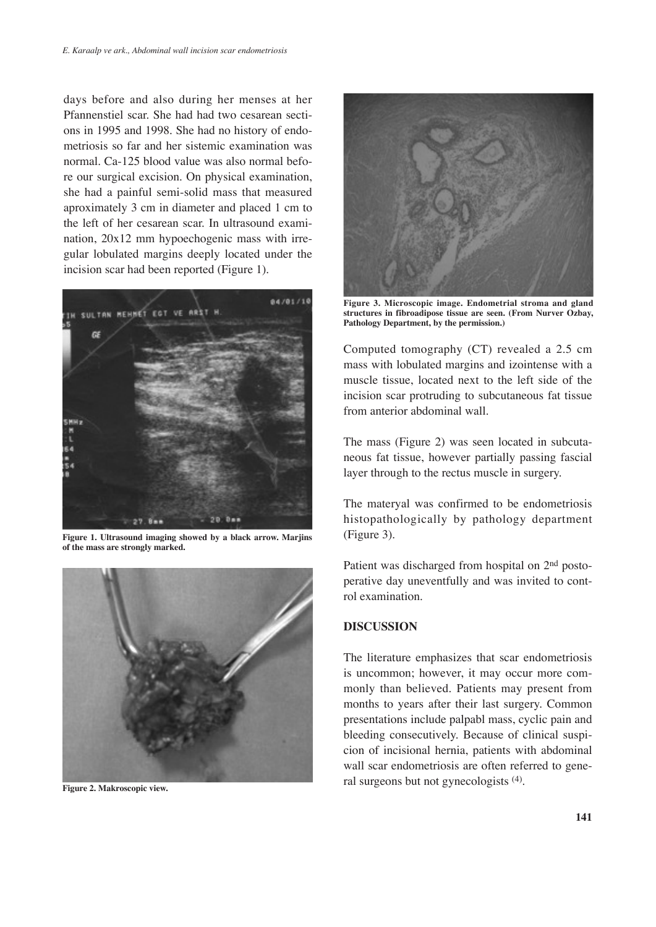days before and also during her menses at her Pfannenstiel scar. She had had two cesarean sections in 1995 and 1998. She had no history of endometriosis so far and her sistemic examination was normal. Ca-125 blood value was also normal before our surgical excision. On physical examination, she had a painful semi-solid mass that measured aproximately 3 cm in diameter and placed 1 cm to the left of her cesarean scar. In ultrasound examination, 20x12 mm hypoechogenic mass with irregular lobulated margins deeply located under the incision scar had been reported (Figure 1).



**Figure 1. Ultrasound imaging showed by a black arrow. Marjins of the mass are strongly marked.** 



**Figure 2. Makroscopic view.**



**Figure 3. Microscopic image. Endometrial stroma and gland structures in fibroadipose tissue are seen. (From Nurver Ozbay, Pathology Department, by the permission.)**

Computed tomography (CT) revealed a 2.5 cm mass with lobulated margins and izointense with a muscle tissue, located next to the left side of the incision scar protruding to subcutaneous fat tissue from anterior abdominal wall.

The mass (Figure 2) was seen located in subcutaneous fat tissue, however partially passing fascial layer through to the rectus muscle in surgery.

The materyal was confirmed to be endometriosis histopathologically by pathology department (Figure 3).

Patient was discharged from hospital on 2nd postoperative day uneventfully and was invited to control examination.

### **DIscussIon**

The literature emphasizes that scar endometriosis is uncommon; however, it may occur more commonly than believed. Patients may present from months to years after their last surgery. Common presentations include palpabl mass, cyclic pain and bleeding consecutively. Because of clinical suspicion of incisional hernia, patients with abdominal wall scar endometriosis are often referred to general surgeons but not gynecologists (4).